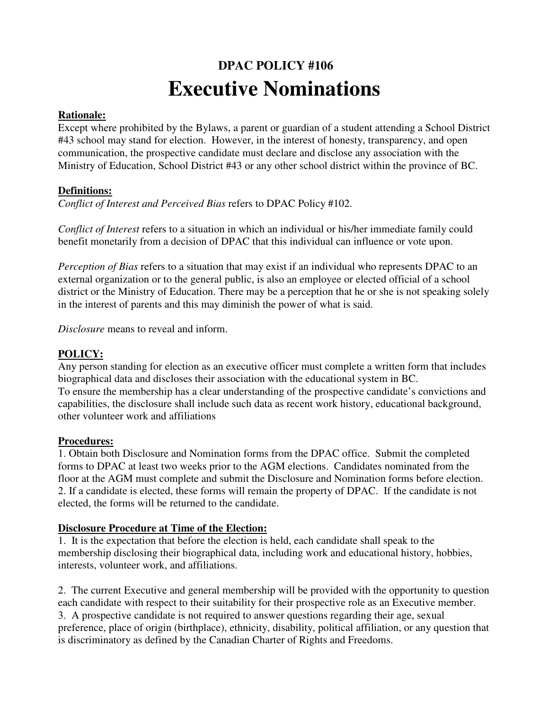# **DPAC POLICY #106 Executive Nominations**

## **Rationale:**

Except where prohibited by the Bylaws, a parent or guardian of a student attending a School District #43 school may stand for election. However, in the interest of honesty, transparency, and open communication, the prospective candidate must declare and disclose any association with the Ministry of Education, School District #43 or any other school district within the province of BC.

## **Definitions:**

*Conflict of Interest and Perceived Bias* refers to DPAC Policy #102.

*Conflict of Interest* refers to a situation in which an individual or his/her immediate family could benefit monetarily from a decision of DPAC that this individual can influence or vote upon.

*Perception of Bias* refers to a situation that may exist if an individual who represents DPAC to an external organization or to the general public, is also an employee or elected official of a school district or the Ministry of Education. There may be a perception that he or she is not speaking solely in the interest of parents and this may diminish the power of what is said.

*Disclosure* means to reveal and inform.

## **POLICY:**

Any person standing for election as an executive officer must complete a written form that includes biographical data and discloses their association with the educational system in BC. To ensure the membership has a clear understanding of the prospective candidate's convictions and capabilities, the disclosure shall include such data as recent work history, educational background, other volunteer work and affiliations

#### **Procedures:**

1. Obtain both Disclosure and Nomination forms from the DPAC office. Submit the completed forms to DPAC at least two weeks prior to the AGM elections. Candidates nominated from the floor at the AGM must complete and submit the Disclosure and Nomination forms before election. 2. If a candidate is elected, these forms will remain the property of DPAC. If the candidate is not elected, the forms will be returned to the candidate.

#### **Disclosure Procedure at Time of the Election:**

1. It is the expectation that before the election is held, each candidate shall speak to the membership disclosing their biographical data, including work and educational history, hobbies, interests, volunteer work, and affiliations.

2. The current Executive and general membership will be provided with the opportunity to question each candidate with respect to their suitability for their prospective role as an Executive member. 3. A prospective candidate is not required to answer questions regarding their age, sexual preference, place of origin (birthplace), ethnicity, disability, political affiliation, or any question that is discriminatory as defined by the Canadian Charter of Rights and Freedoms.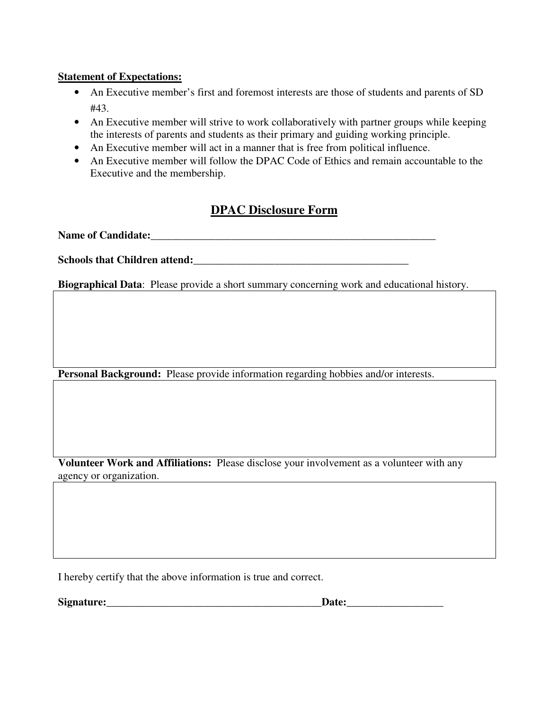#### **Statement of Expectations:**

- An Executive member's first and foremost interests are those of students and parents of SD #43.
- An Executive member will strive to work collaboratively with partner groups while keeping the interests of parents and students as their primary and guiding working principle.
- An Executive member will act in a manner that is free from political influence.
- An Executive member will follow the DPAC Code of Ethics and remain accountable to the Executive and the membership.

# **DPAC Disclosure Form**

**Name of Candidate:\_\_\_\_\_\_\_\_\_\_\_\_\_\_\_\_\_\_\_\_\_\_\_\_\_\_\_\_\_\_\_\_\_\_\_\_\_\_\_\_\_\_\_\_\_\_\_\_\_\_\_\_\_** 

**Schools that Children attend:\_\_\_\_\_\_\_\_\_\_\_\_\_\_\_\_\_\_\_\_\_\_\_\_\_\_\_\_\_\_\_\_\_\_\_\_\_\_\_\_** 

**Biographical Data**: Please provide a short summary concerning work and educational history.

**Personal Background:** Please provide information regarding hobbies and/or interests.

**Volunteer Work and Affiliations:** Please disclose your involvement as a volunteer with any agency or organization.

I hereby certify that the above information is true and correct.

**Signature:** the contract of the contract of the contract of the contract of the contract of the contract of the contract of the contract of the contract of the contract of the contract of the contract of the contract of t